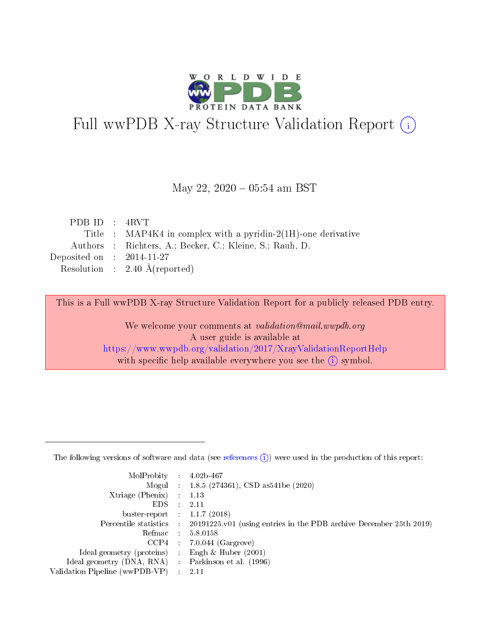

# Full wwPDB X-ray Structure Validation Report (i)

#### May 22,  $2020 - 05:54$  am BST

| PDBID : 4RVT                         |                                                               |
|--------------------------------------|---------------------------------------------------------------|
|                                      | Title : MAP4K4 in complex with a pyridin-2(1H)-one derivative |
|                                      | Authors : Richters, A.; Becker, C.; Kleine, S.; Rauh, D.      |
| Deposited on $\therefore$ 2014-11-27 |                                                               |
|                                      | Resolution : $2.40 \text{ Å}$ (reported)                      |

This is a Full wwPDB X-ray Structure Validation Report for a publicly released PDB entry.

We welcome your comments at validation@mail.wwpdb.org A user guide is available at <https://www.wwpdb.org/validation/2017/XrayValidationReportHelp> with specific help available everywhere you see the  $(i)$  symbol.

The following versions of software and data (see [references](https://www.wwpdb.org/validation/2017/XrayValidationReportHelp#references)  $(1)$ ) were used in the production of this report:

| MolProbity :                   |               | $4.02b - 467$                                                               |
|--------------------------------|---------------|-----------------------------------------------------------------------------|
|                                |               | Mogul : $1.8.5$ (274361), CSD as 541be (2020)                               |
| $X$ triage (Phenix) :          |               | 1.13                                                                        |
| EDS.                           |               | 2.11                                                                        |
| buster-report : $1.1.7$ (2018) |               |                                                                             |
| Percentile statistics :        |               | $20191225 \text{v}01$ (using entries in the PDB archive December 25th 2019) |
| Refmac :                       |               | 5.8.0158                                                                    |
| $CCP4$ :                       |               | $7.0.044$ (Gargrove)                                                        |
| Ideal geometry (proteins) :    |               | Engh $\&$ Huber (2001)                                                      |
| Ideal geometry (DNA, RNA) :    |               | Parkinson et al. (1996)                                                     |
| Validation Pipeline (wwPDB-VP) | $\mathcal{L}$ | 2.11                                                                        |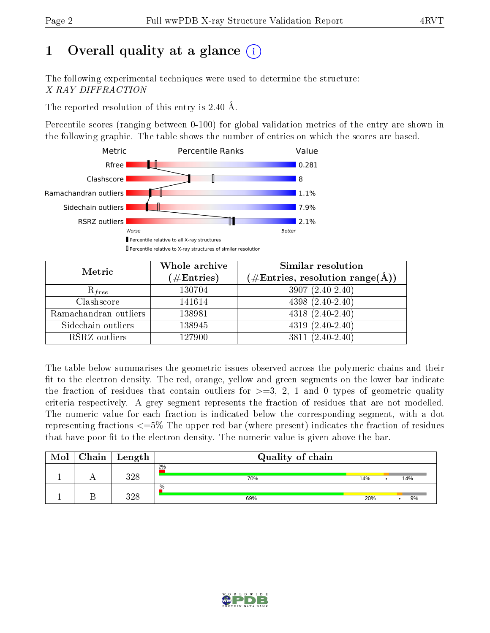# 1 [O](https://www.wwpdb.org/validation/2017/XrayValidationReportHelp#overall_quality)verall quality at a glance  $(i)$

The following experimental techniques were used to determine the structure: X-RAY DIFFRACTION

The reported resolution of this entry is 2.40 Å.

Percentile scores (ranging between 0-100) for global validation metrics of the entry are shown in the following graphic. The table shows the number of entries on which the scores are based.



| Metric                | Whole archive<br>$(\#\mathrm{Entries})$ | Similar resolution<br>$(\#\text{Entries},\,\text{resolution}\,\,\text{range}(\textup{\AA}))$ |
|-----------------------|-----------------------------------------|----------------------------------------------------------------------------------------------|
| $R_{free}$            | 130704                                  | $3907(2.40-2.40)$                                                                            |
| Clashscore            | 141614                                  | $4398(2.40-2.40)$                                                                            |
| Ramachandran outliers | 138981                                  | $4318(2.40-2.40)$                                                                            |
| Sidechain outliers    | 138945                                  | $4319(2.40-2.40)$                                                                            |
| RSRZ outliers         | 127900                                  | $3811 (2.40 - 2.40)$                                                                         |

The table below summarises the geometric issues observed across the polymeric chains and their fit to the electron density. The red, orange, yellow and green segments on the lower bar indicate the fraction of residues that contain outliers for  $>=3, 2, 1$  and 0 types of geometric quality criteria respectively. A grey segment represents the fraction of residues that are not modelled. The numeric value for each fraction is indicated below the corresponding segment, with a dot representing fractions <=5% The upper red bar (where present) indicates the fraction of residues that have poor fit to the electron density. The numeric value is given above the bar.

| Mol | Chain | $\vert$ Length | Quality of chain |     |     |
|-----|-------|----------------|------------------|-----|-----|
|     |       | 398            | 2%<br>70%        | 14% | 14% |
|     |       | 298            | $\%$<br>69%      | 20% | 9%  |

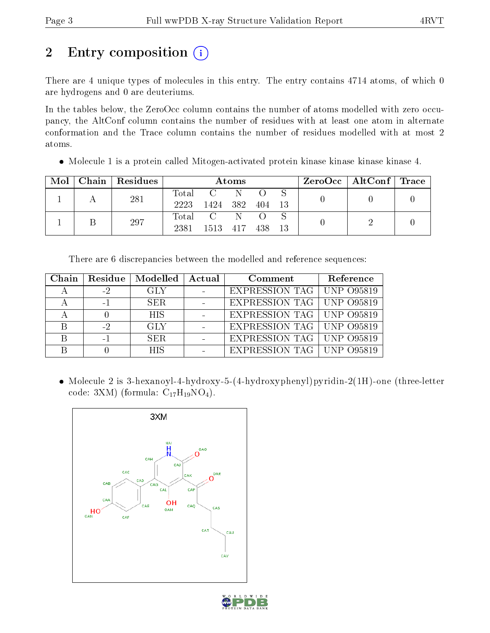# 2 Entry composition  $\left( \cdot \right)$

There are 4 unique types of molecules in this entry. The entry contains 4714 atoms, of which 0 are hydrogens and 0 are deuteriums.

In the tables below, the ZeroOcc column contains the number of atoms modelled with zero occupancy, the AltConf column contains the number of residues with at least one atom in alternate conformation and the Trace column contains the number of residues modelled with at most 2 atoms.

Molecule 1 is a protein called Mitogen-activated protein kinase kinase kinase kinase 4.

| Mol | Chain   Residues | Atoms         |                 |           |        |  | $\rm ZeroOcc \mid AltConf \mid Trace$ |  |
|-----|------------------|---------------|-----------------|-----------|--------|--|---------------------------------------|--|
|     | 281              | Total<br>2223 | C<br>1424       | -N<br>382 | 404 13 |  |                                       |  |
|     | 297              | 2381          | Total C<br>1513 | N<br>-417 | 438    |  |                                       |  |

There are 6 discrepancies between the modelled and reference sequences:

| Chain | Residue | Modelled   Actual | Comment                            | Reference |
|-------|---------|-------------------|------------------------------------|-----------|
|       | $-2$    | GLY               | EXPRESSION TAG   UNP 095819        |           |
|       |         | SER.              | <b>EXPRESSION TAG   UNP 095819</b> |           |
|       |         | <b>HIS</b>        | EXPRESSION TAG   UNP 095819        |           |
|       | $-2$    | GLY               | EXPRESSION TAG   UNP 095819        |           |
|       |         | SER.              | <b>EXPRESSION TAG   UNP 095819</b> |           |
|       |         | <b>HIS</b>        | EXPRESSION TAG   UNP 095819        |           |

 Molecule 2 is 3-hexanoyl-4-hydroxy-5-(4-hydroxyphenyl)pyridin-2(1H)-one (three-letter code: 3XM) (formula:  $C_{17}H_{19}NO_4$ ).



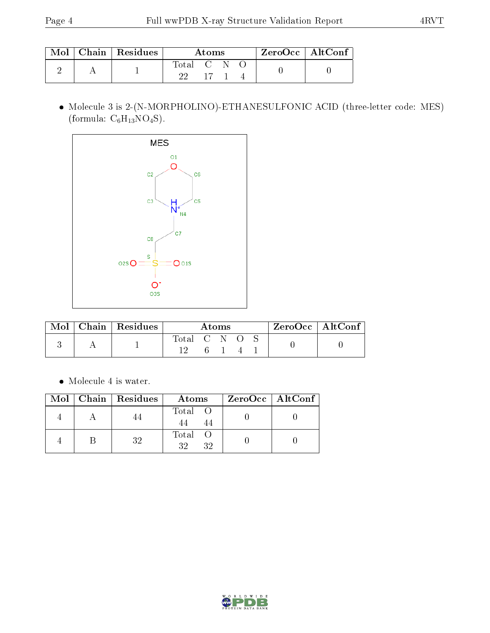|  | $\blacksquare$ Mol $\vert$ Chain $\vert$ Residues | Atoms     |       |  |  | ZeroOcc   AltConf |
|--|---------------------------------------------------|-----------|-------|--|--|-------------------|
|  |                                                   | Total C N | $-17$ |  |  |                   |

 Molecule 3 is 2-(N-MORPHOLINO)-ETHANESULFONIC ACID (three-letter code: MES) (formula:  $C_6H_{13}NO_4S$ ).



| Mol | $\mid$ Chain $\mid$ Residues $\mid$ | Atoms       |  |  | $ZeroOcc \mid AltConf \mid$ |  |
|-----|-------------------------------------|-------------|--|--|-----------------------------|--|
|     |                                     | Total C N O |  |  |                             |  |
|     |                                     |             |  |  |                             |  |

 $\bullet\,$  Molecule 4 is water.

|  | $Mol$   Chain   Residues | Atoms             | ZeroOcc   AltConf |
|--|--------------------------|-------------------|-------------------|
|  |                          | Total             |                   |
|  | २१                       | Total<br>32<br>32 |                   |

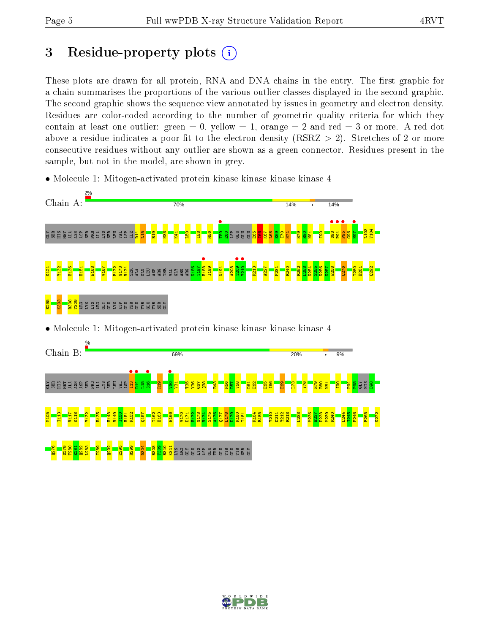# 3 Residue-property plots  $(i)$

These plots are drawn for all protein, RNA and DNA chains in the entry. The first graphic for a chain summarises the proportions of the various outlier classes displayed in the second graphic. The second graphic shows the sequence view annotated by issues in geometry and electron density. Residues are color-coded according to the number of geometric quality criteria for which they contain at least one outlier: green  $= 0$ , yellow  $= 1$ , orange  $= 2$  and red  $= 3$  or more. A red dot above a residue indicates a poor fit to the electron density (RSRZ  $> 2$ ). Stretches of 2 or more consecutive residues without any outlier are shown as a green connector. Residues present in the sample, but not in the model, are shown in grey.

• Molecule 1: Mitogen-activated protein kinase kinase kinase kinase 4



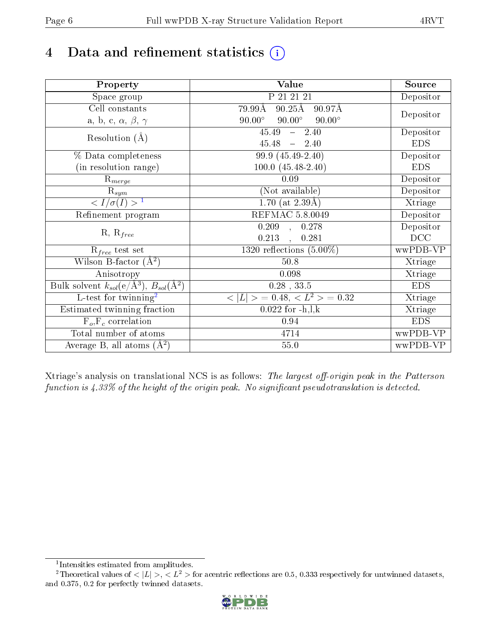# 4 Data and refinement statistics  $(i)$

| Property                                                             | Value                                           | Source     |
|----------------------------------------------------------------------|-------------------------------------------------|------------|
| Space group                                                          | P 21 21 21                                      | Depositor  |
| Cell constants                                                       | $90.25\text{\AA}$<br>79.99Å<br>90.97Å           |            |
| a, b, c, $\alpha$ , $\beta$ , $\gamma$                               | $90.00^\circ$<br>$90.00^\circ$<br>$90.00^\circ$ | Depositor  |
| Resolution $(A)$                                                     | 45.49<br>$-2.40$                                | Depositor  |
|                                                                      | $45.48 - 2.40$                                  | <b>EDS</b> |
| % Data completeness                                                  | 99.9 (45.49-2.40)                               | Depositor  |
| (in resolution range)                                                | $100.0 (45.48 - 2.40)$                          | <b>EDS</b> |
| $\mathrm{R}_{merge}$                                                 | 0.09                                            | Depositor  |
| $\mathrm{R}_{sym}$                                                   | (Not available)                                 | Depositor  |
| $\sqrt{I/\sigma(I)} > 1$                                             | $\overline{1.70}$ (at 2.39Å)                    | Xtriage    |
| Refinement program                                                   | <b>REFMAC 5.8.0049</b>                          | Depositor  |
|                                                                      | $\overline{0.209}$ ,<br>0.278                   | Depositor  |
| $R, R_{free}$                                                        | 0.213<br>0.281<br>$\overline{a}$                | DCC        |
| $R_{free}$ test set                                                  | 1320 reflections $(5.00\%)$                     | wwPDB-VP   |
| Wilson B-factor $(A^2)$                                              | $50.8$                                          | Xtriage    |
| Anisotropy                                                           | 0.098                                           | Xtriage    |
| Bulk solvent $k_{sol}(e/\mathring{A}^3)$ , $B_{sol}(\mathring{A}^2)$ | $0.28$ , $33.5$                                 | <b>EDS</b> |
| $\overline{L-test for}$ twinning <sup>2</sup>                        | $< L >$ = 0.48, $< L2$ = 0.32                   | Xtriage    |
| Estimated twinning fraction                                          | $0.022 \text{ for } -h, l, k$                   | Xtriage    |
| $F_o, F_c$ correlation                                               | 0.94                                            | <b>EDS</b> |
| Total number of atoms                                                | 4714                                            | wwPDB-VP   |
| Average B, all atoms $(A^2)$                                         | $55.0\,$                                        | wwPDB-VP   |

Xtriage's analysis on translational NCS is as follows: The largest off-origin peak in the Patterson function is  $4.33\%$  of the height of the origin peak. No significant pseudotranslation is detected.

<sup>&</sup>lt;sup>2</sup>Theoretical values of  $\langle |L| \rangle$ ,  $\langle L^2 \rangle$  for acentric reflections are 0.5, 0.333 respectively for untwinned datasets, and 0.375, 0.2 for perfectly twinned datasets.



<span id="page-5-1"></span><span id="page-5-0"></span><sup>1</sup> Intensities estimated from amplitudes.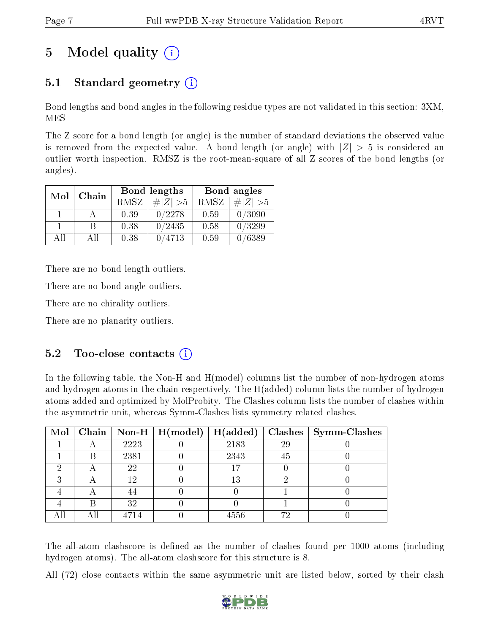# 5 Model quality  $(i)$

## 5.1 Standard geometry (i)

Bond lengths and bond angles in the following residue types are not validated in this section: 3XM, MES

The Z score for a bond length (or angle) is the number of standard deviations the observed value is removed from the expected value. A bond length (or angle) with  $|Z| > 5$  is considered an outlier worth inspection. RMSZ is the root-mean-square of all Z scores of the bond lengths (or angles).

| Mol | Chain |      | <b>Bond lengths</b> | Bond angles |                     |  |
|-----|-------|------|---------------------|-------------|---------------------|--|
|     |       | RMSZ | $\# Z  > 5$         | RMSZ        | $\Vert Z \Vert > 5$ |  |
|     |       | 0.39 | 0/2278              | 0.59        | 0/3090              |  |
|     | R     | 0.38 | 0/2435              | 0.58        | 0/3299              |  |
| AH  | Аll   | 0.38 | 0/4713              | 0.59        | 0/6389              |  |

There are no bond length outliers.

There are no bond angle outliers.

There are no chirality outliers.

There are no planarity outliers.

### $5.2$  Too-close contacts  $(i)$

In the following table, the Non-H and H(model) columns list the number of non-hydrogen atoms and hydrogen atoms in the chain respectively. The H(added) column lists the number of hydrogen atoms added and optimized by MolProbity. The Clashes column lists the number of clashes within the asymmetric unit, whereas Symm-Clashes lists symmetry related clashes.

|  |      | Mol   Chain   Non-H   H(model)   H(added) |      |    | $\textbf{Class} \mid \textbf{Symm-Class}$ |
|--|------|-------------------------------------------|------|----|-------------------------------------------|
|  | 2223 |                                           | 2183 | 29 |                                           |
|  | 2381 |                                           | 2343 | 45 |                                           |
|  | 22   |                                           | 17   |    |                                           |
|  | 19   |                                           | 13   |    |                                           |
|  |      |                                           |      |    |                                           |
|  | 32   |                                           |      |    |                                           |
|  |      |                                           | 4556 |    |                                           |

The all-atom clashscore is defined as the number of clashes found per 1000 atoms (including hydrogen atoms). The all-atom clashscore for this structure is 8.

All (72) close contacts within the same asymmetric unit are listed below, sorted by their clash

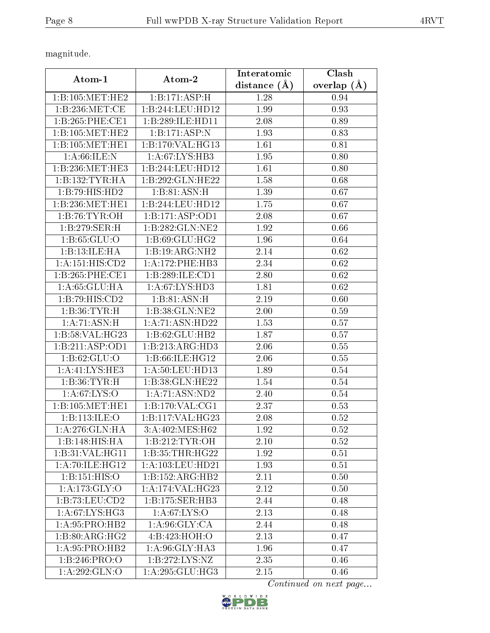magnitude.

|                             |                             | Interatomic    | Clash             |  |
|-----------------------------|-----------------------------|----------------|-------------------|--|
| Atom-1                      | Atom-2                      | distance $(A)$ | overlap $(A)$     |  |
| 1:B:105:MET:HE2             | 1:B:171:ASP:H               | 1.28           | 0.94              |  |
| 1:B:236:MET:CE              | 1:B:244:LEU:HD12            | 1.99           | 0.93              |  |
| 1:B:265:PHE:CE1             | 1:B:289:ILE:HD11            | 2.08           | 0.89              |  |
| 1:B:105:MET:HE2             | 1: B: 171: ASP: N           | 1.93           | 0.83              |  |
| 1:B:105:MET:HE1             | 1:B:170:VAL:HG13            | 1.61           | 0.81              |  |
| 1: A:66: ILE:N              | 1: A:67: LYS: HB3           | 1.95           | 0.80              |  |
| 1:B:236:MET:HE3             | 1:B:244:LEU:HD12            | 1.61           | 0.80              |  |
| 1: B: 132: TYR: HA          | 1:B:292:GLN:HE22            | 1.58           | 0.68              |  |
| 1:B:79:HIS:HD2              | 1:B:81:ASN:H                | 1.39           | 0.67              |  |
| 1:B:236:MET:HE1             | 1:B:244:LEU:HD12            | 1.75           | $\overline{0.6}7$ |  |
| 1:B:76:TYR:OH               | 1:B:171:ASP:OD1             | 2.08           | 0.67              |  |
| 1:B:279:SER:H               | 1:B:282:GLN:NE2             | 1.92           | 0.66              |  |
| 1: B: 65: GLU: O            | 1:B:69:GLU:HG2              | 1.96           | 0.64              |  |
| 1:B:13:ILE:HA               | 1:B:19:ARG:NH2              | 2.14           | 0.62              |  |
| 1:A:151:HIS:CD2             | 1:A:172:PHE:HB3             | 2.34           | 0.62              |  |
| 1:B:265:PHE:CE1             | 1:B:289:ILE:CD1             | 2.80           | 0.62              |  |
| 1: A:65:GLU:HA              | 1:A:67:LYS:HD3              | 1.81           | 0.62              |  |
| 1:B:79:HIS:CD2              | 1:B:81:ASN:H                | 2.19           | 0.60              |  |
| 1:B:36:TYR:H                | 1:B:38:GLN:NE2              | 2.00           | 0.59              |  |
| $1:A:\overline{71:ASN:H}$   | 1:A:71:ASN:HD22             | 1.53           | 0.57              |  |
| 1:B:58:VAL:H G23            | 1:B:62:GLU:HB2              | 1.87           | 0.57              |  |
| 1:B:211:ASP:OD1             | 1:B:213:ARG:HD3             | 2.06           | 0.55              |  |
| 1: B:62: GLU:O              | 1: B:66: ILE: HG12          | 2.06           | 0.55              |  |
| 1:A:41:LYS:HE3              | 1: A:50: LEU: HD13          | 1.89           | 0.54              |  |
| 1:B:36:TYR:H                | 1:B:38:GLN:HE22             | 1.54           | 0.54              |  |
| 1: A:67:LYS:O               | $1:A:71:ASN:N\overline{D2}$ | 2.40           | 0.54              |  |
| 1:B:105:MET:HE1             | 1: B: 170: VAL: CG1         | 2.37           | 0.53              |  |
| 1:B:113:ILE:O               | 1:B:117:VAL:HG23            | 2.08           | 0.52              |  |
| 1: A:276: GLN: HA           | 3:A:402:MES:H62             | 1.92           | 0.52              |  |
| 1:B:148:HIS:HA              | 1: B: 212: TYR: OH          | 2.10           | 0.52              |  |
| 1:B:31:VAL:H <sub>G11</sub> | 1: B: 35: THR: HG22         | 1.92           | 0.51              |  |
| 1:A:70:ILE:HG12             | 1:A:103:LEU:HD21            | 1.93           | 0.51              |  |
| 1:B:151:HIS:O               | 1:B:152:ARG:HB2             | 2.11           | 0.50              |  |
| 1:A:173:GLY:O               | 1:A:174:VAL:HG23            | 2.12           | 0.50              |  |
| 1:B:73:LEU:CD2              | 1:B:175:SER:HB3             | 2.44           | 0.48              |  |
| 1: A:67: LYS:HG3            | 1: A:67: LYS:O              | 2.13           | 0.48              |  |
| 1:A:95:PRO:HB2              | 1: A:96: GLY: CA            | 2.44           | 0.48              |  |
| 1: B:80:ARG:HG2             | 4:B:423:HOH:O               | 2.13           | 0.47              |  |
| 1:A:95:PRO:HB2              | 1:A:96:GLY:HA3              | 1.96           | 0.47              |  |
| 1:B:246:PRO:O               | 1:B:272:LYS:NZ              | 2.35           | 0.46              |  |
| 1:A:292:GLN:O               | 1:A:295:GLU:HG3             | 2.15           | 0.46              |  |

Continued on next page...

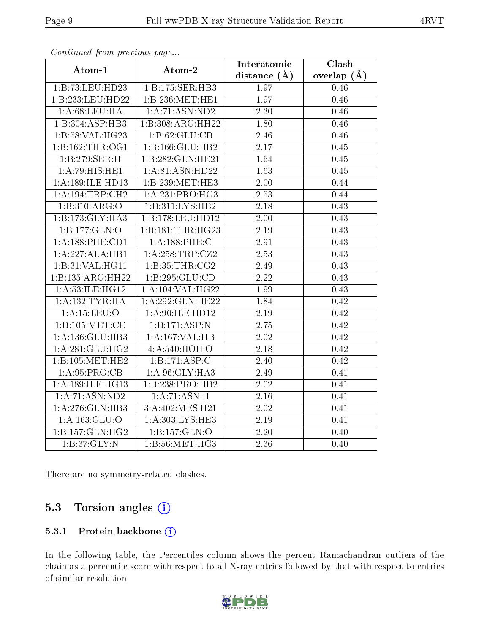| $r \sim r$ is the set of $r \sim r$ |                     | Interatomic      | Clash           |
|-------------------------------------|---------------------|------------------|-----------------|
| Atom-1                              | Atom-2              | distance $(\AA)$ | overlap $(\AA)$ |
| 1:B:73:LEU:HD23                     | 1:B:175:SER:HB3     | 1.97             | 0.46            |
| 1:B:233:LEU:HD22                    | 1:B:236:MET:HE1     | 1.97             | 0.46            |
| 1: A:68:LEU:HA                      | 1:A:71:ASN:ND2      | 2.30             | 0.46            |
| 1:B:304:ASP:HB3                     | 1:B:308:ARG:HH22    | 1.80             | 0.46            |
| 1:B:58:VAL:HG23                     | 1:B:62:GLU:CB       | 2.46             | 0.46            |
| 1:B:162:THR:OG1                     | 1:B:166:GLU:HB2     | 2.17             | 0.45            |
| 1:B:279:SER:H                       | 1:B:282:GLN:HE21    | 1.64             | 0.45            |
| 1:A:79:HIS:HE1                      | 1:A:81:ASN:HD22     | 1.63             | 0.45            |
| 1:A:189:ILE:HD13                    | 1:B:239:MET:HE3     | 2.00             | 0.44            |
| $1: A: 194: \text{TRP:CH2}$         | 1:A:231:PRO:HG3     | 2.53             | 0.44            |
| 1:B:310:ARG:O                       | 1:B:311:LYS:HB2     | 2.18             | 0.43            |
| 1:B:173:GLY:HA3                     | 1:B:178:LEU:HD12    | 2.00             | 0.43            |
| 1:B:177:GLN:O                       | 1:B:181:THR:HG23    | 2.19             | 0.43            |
| 1: A: 188: PHE: CD1                 | 1:A:188:PHE:C       | 2.91             | 0.43            |
| 1:A:227:ALA:HB1                     | 1:A:258:TRP:CZ2     | 2.53             | 0.43            |
| 1:B:31:VAL:HG11                     | 1:B:35:THR:CG2      | 2.49             | 0.43            |
| 1:B:135:ARG:HH22                    | 1:B:295:GLU:CD      | 2.22             | 0.43            |
| 1:A:53:ILE:HG12                     | 1:A:104:VAL:HG22    | 1.99             | 0.43            |
| 1: A: 132: TYR: HA                  | 1:A:292:GLN:HE22    | 1.84             | 0.42            |
| 1: A: 15: LEU: O                    | 1: A:90: ILE: HD12  | 2.19             | 0.42            |
| 1:B:105:MET:CE                      | 1:B:171:ASP:N       | 2.75             | 0.42            |
| 1:A:136:GLU:HB3                     | 1:A:167:VAL:HB      | 2.02             | 0.42            |
| 1:A:281:GLU:HG2                     | 4:A:540:HOH:O       | 2.18             | 0.42            |
| 1:B:105:MET:HE2                     | 1:B:171:ASP:C       | 2.40             | 0.42            |
| 1:A:95:PRO:CB                       | 1:A:96:GLY:HA3      | 2.49             | 0.41            |
| 1:A:189:ILE:HG13                    | 1:B:238:PRO:HB2     | 2.02             | 0.41            |
| 1: A:71: ASN:ND2                    | 1: A:71: ASN:H      | 2.16             | 0.41            |
| 1:A:276:GLN:HB3                     | 3: A:402:MES:H21    | 2.02             | 0.41            |
| 1: A: 163: GLU:O                    | 1: A: 303: LYS: HE3 | 2.19             | 0.41            |
| 1: B: 157: GLN: HG2                 | 1:B:157:GLN:O       | 2.20             | 0.40            |
| 1: B:37: GLY:N                      | 1: B:56: MET:HG3    | 2.36             | 0.40            |

Continued from previous page...

There are no symmetry-related clashes.

### 5.3 Torsion angles (i)

#### 5.3.1 Protein backbone (i)

In the following table, the Percentiles column shows the percent Ramachandran outliers of the chain as a percentile score with respect to all X-ray entries followed by that with respect to entries of similar resolution.

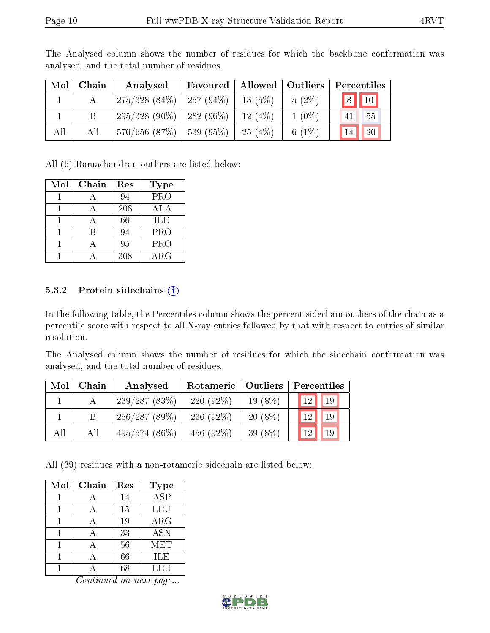| Mol | $\mid$ Chain | Analysed                          |           |          | Favoured   Allowed   Outliers   Percentiles |
|-----|--------------|-----------------------------------|-----------|----------|---------------------------------------------|
|     |              | $275/328$ (84\%)   257 (94\%)     | $13(5\%)$ | $5(2\%)$ | $8$   10                                    |
|     | Β            | $295/328$ (90\%)   282 (96\%)     | 12(4%)    | $1(0\%)$ | 55<br>41                                    |
| All | All          | $570/656$ $(87\%)$   539 $(95\%)$ | $-25(4%)$ | 6 $(1%)$ | 20<br>14                                    |

The Analysed column shows the number of residues for which the backbone conformation was analysed, and the total number of residues.

All (6) Ramachandran outliers are listed below:

| Mol | Chain | Res | <b>Type</b>             |
|-----|-------|-----|-------------------------|
|     |       | 94  | $\overline{\text{PRO}}$ |
|     |       | 208 | ALA                     |
|     |       | 66  | ILE                     |
|     | R     | 94  | $\overline{P}RO$        |
|     |       | 95  | PRO                     |
|     |       | 308 | ${\rm ARG}$             |

#### 5.3.2 Protein sidechains  $(i)$

In the following table, the Percentiles column shows the percent sidechain outliers of the chain as a percentile score with respect to all X-ray entries followed by that with respect to entries of similar resolution.

The Analysed column shows the number of residues for which the sidechain conformation was analysed, and the total number of residues.

| Mol | Chain | Analysed        | Rotameric   Outliers |            | Percentiles     |    |  |
|-----|-------|-----------------|----------------------|------------|-----------------|----|--|
|     |       | 239/287(83%)    | 220 $(92\%)$         | $19(8\%)$  | 12 <sup>1</sup> | 19 |  |
|     |       | 256/287(89%)    | 236 $(92\%)$         | $20(8\%)$  | 12 <sub>1</sub> | 19 |  |
| All | All   | $495/574(86\%)$ | 456 $(92\%)$         | 39 $(8\%)$ | 12              | 19 |  |

All (39) residues with a non-rotameric sidechain are listed below:

| Mol | Chain | Res | <b>Type</b> |
|-----|-------|-----|-------------|
|     |       | 14  | <b>ASP</b>  |
|     |       | 15  | LEU         |
|     |       | 19  | ARG         |
|     |       | 33  | <b>ASN</b>  |
|     |       | 56  | MET         |
|     |       | 66  | ILE         |
|     |       | 68  | LEU         |

Continued on next page...

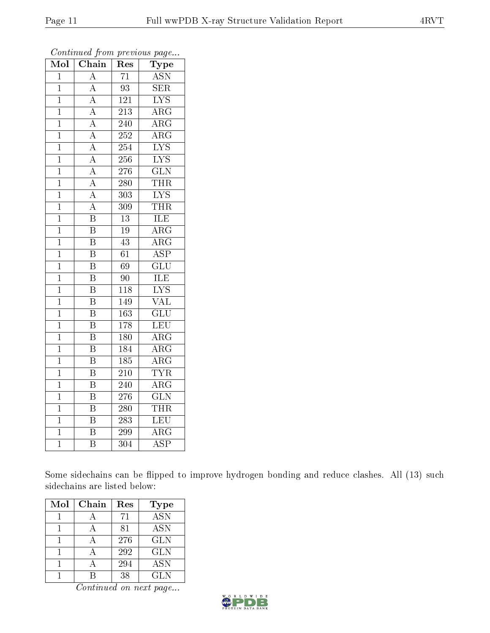| Mol            | Chain                   | $\operatorname{Res}% \left( \mathcal{N}\right) \equiv\operatorname{Res}(\mathcal{N}_{0})\cap\mathcal{N}_{1}$ | Type                    |
|----------------|-------------------------|--------------------------------------------------------------------------------------------------------------|-------------------------|
| $\overline{1}$ | $\overline{\rm A}$      | $\overline{71}$                                                                                              | <b>ASN</b>              |
| $\mathbf{1}$   | $\overline{\rm A}$      | $\overline{93}$                                                                                              | $\overline{\text{SER}}$ |
| $\overline{1}$ | $\overline{A}$          | 121                                                                                                          | $\overline{\text{LYS}}$ |
| $\mathbf{1}$   | $\overline{A}$          | 213                                                                                                          | $\rm{ARG}$              |
| $\overline{1}$ | $\overline{A}$          | $\overline{240}$                                                                                             | $\overline{\rm{ARG}}$   |
| $\mathbf 1$    | $\overline{A}$          | 252                                                                                                          | $\rm{ARG}$              |
| $\mathbf{1}$   | $\overline{A}$          | 254                                                                                                          | $\overline{\text{LYS}}$ |
| $\mathbf{1}$   | $\overline{\rm A}$      | 256                                                                                                          | $\overline{\text{LYS}}$ |
| $\overline{1}$ | $\overline{A}$          | 276                                                                                                          | $\overline{\text{GLN}}$ |
| $\overline{1}$ | $\overline{A}$          | $\overline{280}$                                                                                             | <b>THR</b>              |
| $\mathbf{1}$   | $\overline{A}$          | 303                                                                                                          | $\overline{\text{LYS}}$ |
| $\overline{1}$ | $\overline{A}$          | 309                                                                                                          | <b>THR</b>              |
| $\overline{1}$ | $\overline{\mathrm{B}}$ | $\overline{13}$                                                                                              | ILE                     |
| $\mathbf 1$    | $\overline{\mathrm{B}}$ | 19                                                                                                           | $\rm{ARG}$              |
| $\mathbf{1}$   | $\overline{\mathrm{B}}$ | $\overline{43}$                                                                                              | $\overline{\rm{ARG}}$   |
| $\overline{1}$ | $\overline{\mathrm{B}}$ | $\overline{61}$                                                                                              | <b>ASP</b>              |
| $\overline{1}$ | $\overline{\mathrm{B}}$ | $\overline{69}$                                                                                              | $\overline{{\rm GLU}}$  |
| $\mathbf{1}$   | $\overline{\mathrm{B}}$ | 90                                                                                                           | ILE                     |
| $\mathbf 1$    | $\overline{\mathrm{B}}$ | 118                                                                                                          | $\overline{\text{LYS}}$ |
| $\overline{1}$ | $\overline{\mathrm{B}}$ | 149                                                                                                          | $\overline{\text{VAL}}$ |
| $\overline{1}$ | $\overline{\mathrm{B}}$ | 163                                                                                                          | $\overline{\text{GLU}}$ |
| $\mathbf{1}$   | $\overline{\mathrm{B}}$ | 178                                                                                                          | $\overline{\text{LEU}}$ |
| $\mathbf{1}$   | $\overline{B}$          | 180                                                                                                          | $\overline{\rm ARG}$    |
| $\mathbf{1}$   | $\overline{\mathrm{B}}$ | 184                                                                                                          | $\overline{\rm{ARG}}$   |
| $\mathbf{1}$   | $\overline{\mathbf{B}}$ | $\overline{185}$                                                                                             | $\rm{ARG}$              |
| $\mathbf{1}$   | $\overline{\mathrm{B}}$ | 210                                                                                                          | <b>TYR</b>              |
| $\overline{1}$ | $\overline{\mathrm{B}}$ | 240                                                                                                          | $\overline{\rm{ARG}}$   |
| $\overline{1}$ | $\overline{\mathrm{B}}$ | 276                                                                                                          | $\overline{\text{GLN}}$ |
| $\overline{1}$ | $\overline{\mathrm{B}}$ | $\overline{280}$                                                                                             | <b>THR</b>              |
| $\mathbf{1}$   | $\overline{\mathrm{B}}$ | 283                                                                                                          | LEU                     |
| $\mathbf{1}$   | $\overline{\mathrm{B}}$ | 299                                                                                                          | $\overline{\rm{ARG}}$   |
| $\overline{1}$ | $\overline{\mathrm{B}}$ | 304                                                                                                          | $\overline{\text{ASP}}$ |

Continued from previous page...

Some sidechains can be flipped to improve hydrogen bonding and reduce clashes. All (13) such sidechains are listed below:

| Mol | Chain | Res | <b>Type</b>             |
|-----|-------|-----|-------------------------|
|     |       | 71  | $\overline{\text{ASN}}$ |
|     |       | 81  | <b>ASN</b>              |
|     |       | 276 | <b>GLN</b>              |
|     |       | 292 | <b>GLN</b>              |
|     |       | 294 | <b>ASN</b>              |
|     |       | 38  | GL N                    |

Continued on next page...

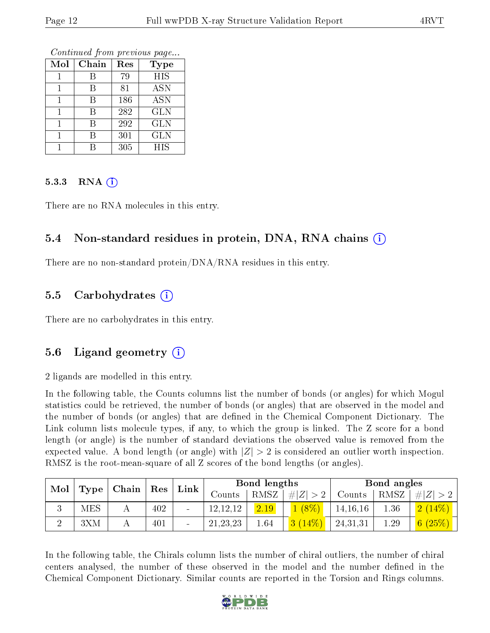Continued from previous page...

| Mol | Chain | Res | Type       |
|-----|-------|-----|------------|
|     | R     | 79  | <b>HIS</b> |
|     | В     | 81  | <b>ASN</b> |
|     | R     | 186 | <b>ASN</b> |
|     | В     | 282 | <b>GLN</b> |
|     | R     | 292 | <b>GLN</b> |
|     | В     | 301 | <b>GLN</b> |
|     |       | 305 | <b>HIS</b> |

#### 5.3.3 RNA  $(i)$

There are no RNA molecules in this entry.

#### 5.4 Non-standard residues in protein, DNA, RNA chains (i)

There are no non-standard protein/DNA/RNA residues in this entry.

#### 5.5 Carbohydrates (i)

There are no carbohydrates in this entry.

### 5.6 Ligand geometry (i)

2 ligands are modelled in this entry.

In the following table, the Counts columns list the number of bonds (or angles) for which Mogul statistics could be retrieved, the number of bonds (or angles) that are observed in the model and the number of bonds (or angles) that are dened in the Chemical Component Dictionary. The Link column lists molecule types, if any, to which the group is linked. The Z score for a bond length (or angle) is the number of standard deviations the observed value is removed from the expected value. A bond length (or angle) with  $|Z| > 2$  is considered an outlier worth inspection. RMSZ is the root-mean-square of all Z scores of the bond lengths (or angles).

| Mol<br>$ $ Chain $ $ Res |      |  | Link | Bond lengths    |            |       | Bond angles |            |        |                                          |
|--------------------------|------|--|------|-----------------|------------|-------|-------------|------------|--------|------------------------------------------|
|                          | Type |  |      |                 | Counts     | RMSZ, | # $ Z  > 2$ | Counts     | ' RMSZ | # Z                                      |
| ιJ                       | MES  |  | 402  | $\qquad \qquad$ | 12, 12, 12 | 2.19  | $1(8\%)$    | 14, 16, 16 | 1.36   | $\left  2 \right  (14\%) \left  \right $ |
|                          | 3XM  |  | 401  |                 | 21, 23, 23 | 1.64  | $3(14\%)$   | 24,31,31   | 1.29   | 6 $(25%)$                                |

In the following table, the Chirals column lists the number of chiral outliers, the number of chiral centers analysed, the number of these observed in the model and the number defined in the Chemical Component Dictionary. Similar counts are reported in the Torsion and Rings columns.

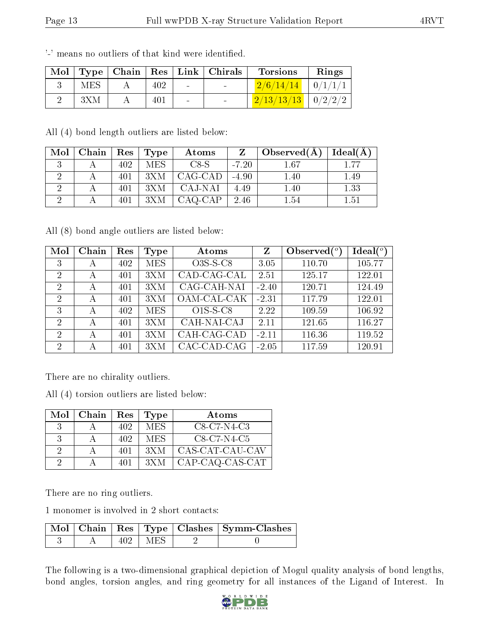| Mol |            |     |        | $\mid$ Type $\mid$ Chain $\mid$ Res $\mid$ Link $\mid$ Chirals | <b>Torsions</b>                       | Rings |
|-----|------------|-----|--------|----------------------------------------------------------------|---------------------------------------|-------|
|     | <b>MES</b> | 402 | $\sim$ |                                                                | $\boxed{2/6/14/14}$ $\boxed{0/1/1/1}$ |       |
|     | 3XM        |     | $\sim$ | <b>Contract Contract</b>                                       | $2/13/13/13$   $0/2/2/2$              |       |

'-' means no outliers of that kind were identified.

All (4) bond length outliers are listed below:

| $\text{Mol}$ | Chain   Res |     | $\vert$ Type | Atoms   | Z       | Observed $(A)$ | Ideal(A) |
|--------------|-------------|-----|--------------|---------|---------|----------------|----------|
|              |             | 402 | MES.         | C8-S    | $-7.20$ | 1.67           | 1.77     |
|              |             | 401 | 3X M         | CAG-CAD | $-4.90$ | 1.40           | 1.49     |
|              |             | 401 | 3XM          | CAJ-NAI | 4.49    | 1.40           | 1.33     |
|              |             | 401 | 3XM          | CAQ-CAP | 2.46    | 1.54           | 1.51     |

All (8) bond angle outliers are listed below:

| Mol | Chain | Res | Type       | Atoms       | Z       | Observed $(°)$ | $\text{Ideal}({}^o)$ |
|-----|-------|-----|------------|-------------|---------|----------------|----------------------|
| 3   | А     | 402 | <b>MES</b> | $O3S-S-C8$  | 3.05    | 110.70         | 105.77               |
| 2   | А     | 401 | 3XM        | CAD-CAG-CAL | 2.51    | 125.17         | 122.01               |
| 2   | А     | 401 | 3XM        | CAG-CAH-NAI | $-2.40$ | 120.71         | 124.49               |
| 2   | А     | 401 | 3XM        | OAM-CAL-CAK | $-2.31$ | 117.79         | 122.01               |
| 3   | А     | 402 | MES        | $O1S-S-C8$  | 2.22    | 109.59         | 106.92               |
| 2   | А     | 401 | 3XM        | CAH-NAI-CAJ | 2.11    | 121.65         | 116.27               |
| 2   | А     | 401 | 3XM        | CAH-CAG-CAD | $-2.11$ | 116.36         | 119.52               |
| 2   | А     | 401 | 3XM        | CAC-CAD-CAG | $-2.05$ | 117.59         | 120.91               |

There are no chirality outliers.

All (4) torsion outliers are listed below:

|          | $Mol$   Chain | Res | Type | Atoms           |
|----------|---------------|-----|------|-----------------|
| 3        |               | 402 | MES  | $C8-C7-N4-C3$   |
| 3        |               | 402 | MES  | $C8-C7-N4-C5$   |
| $\Omega$ |               | 401 | 3X M | CAS-CAT-CAU-CAV |
| $\Omega$ |               | 401 | 3X M | CAP-CAQ-CAS-CAT |

There are no ring outliers.

1 monomer is involved in 2 short contacts:

|  |             | $\boxed{\text{Mol}$   Chain   Res   Type   Clashes   Symm-Clashes |
|--|-------------|-------------------------------------------------------------------|
|  | $402$   MES |                                                                   |

The following is a two-dimensional graphical depiction of Mogul quality analysis of bond lengths, bond angles, torsion angles, and ring geometry for all instances of the Ligand of Interest. In

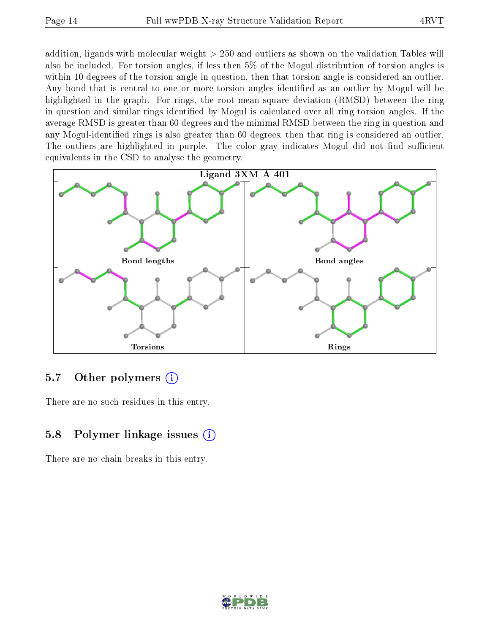addition, ligands with molecular weight > 250 and outliers as shown on the validation Tables will also be included. For torsion angles, if less then 5% of the Mogul distribution of torsion angles is within 10 degrees of the torsion angle in question, then that torsion angle is considered an outlier. Any bond that is central to one or more torsion angles identified as an outlier by Mogul will be highlighted in the graph. For rings, the root-mean-square deviation (RMSD) between the ring in question and similar rings identified by Mogul is calculated over all ring torsion angles. If the average RMSD is greater than 60 degrees and the minimal RMSD between the ring in question and any Mogul-identied rings is also greater than 60 degrees, then that ring is considered an outlier. The outliers are highlighted in purple. The color gray indicates Mogul did not find sufficient equivalents in the CSD to analyse the geometry.



#### 5.7 [O](https://www.wwpdb.org/validation/2017/XrayValidationReportHelp#nonstandard_residues_and_ligands)ther polymers  $(i)$

There are no such residues in this entry.

### 5.8 Polymer linkage issues (i)

There are no chain breaks in this entry.

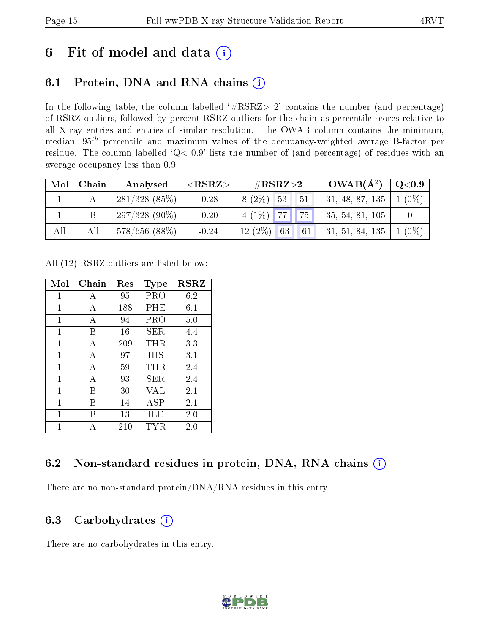## 6 Fit of model and data  $(i)$

### 6.1 Protein, DNA and RNA chains  $(i)$

In the following table, the column labelled  $#RSRZ> 2'$  contains the number (and percentage) of RSRZ outliers, followed by percent RSRZ outliers for the chain as percentile scores relative to all X-ray entries and entries of similar resolution. The OWAB column contains the minimum, median,  $95<sup>th</sup>$  percentile and maximum values of the occupancy-weighted average B-factor per residue. The column labelled ' $Q< 0.9$ ' lists the number of (and percentage) of residues with an average occupancy less than 0.9.

| $\text{Mol}$ | Chain | Analysed           | ${ <\hspace{-1.5pt} {\rm RSRZ} \hspace{-1.5pt}>}$ | $\#\text{RSRZ}\text{>2}$ |      | $OWAB(A^2)$             | $\mathrm{Q}{<}0.9$ |
|--------------|-------|--------------------|---------------------------------------------------|--------------------------|------|-------------------------|--------------------|
|              |       | $281/328$ $(85\%)$ | $-0.28$                                           | 8 (2\%) 53               | - 51 | 31, 48, 87, 135         | $1(0\%)$           |
|              |       | $297/328(90\%)$    | $-0.20$                                           | $4(1\%)$ 77 75 1         |      | $\vert$ 35, 54, 81, 105 |                    |
| All          | All   | 578/656(88%)       | $-0.24$                                           | $12(2\%)$<br>63          | 61   | 31, 51, 84, 135         | $1(0\%)$           |

All (12) RSRZ outliers are listed below:

| Mol | Chain | $\operatorname{Res}% \left( \mathcal{N}\right) \equiv\operatorname{Res}(\mathcal{N}_{0},\mathcal{N}_{0})$ | Type       | <b>RSRZ</b> |
|-----|-------|-----------------------------------------------------------------------------------------------------------|------------|-------------|
| 1   | А     | 95                                                                                                        | PRO        | 6.2         |
| 1   | А     | 188                                                                                                       | $\rm PHE$  | 6.1         |
| 1   | А     | 94                                                                                                        | PRO        | 5.0         |
| 1   | В     | 16                                                                                                        | <b>SER</b> | 4.4         |
| 1   | A     | 209                                                                                                       | THR        | 3.3         |
| 1   | A     | 97                                                                                                        | HIS        | 3.1         |
| 1   | А     | 59                                                                                                        | THR        | 2.4         |
| 1   | А     | 93                                                                                                        | SER.       | 2.4         |
| 1   | В     | 30                                                                                                        | <b>VAL</b> | 2.1         |
| 1   | В     | 14                                                                                                        | <b>ASP</b> | 2.1         |
| 1   | R     | 13                                                                                                        | ĦЕ         | 2.0         |
| 1   | Д     | 210                                                                                                       | TYR        | 2.0         |

### 6.2 Non-standard residues in protein, DNA, RNA chains (i)

There are no non-standard protein/DNA/RNA residues in this entry.

### 6.3 Carbohydrates  $(i)$

There are no carbohydrates in this entry.